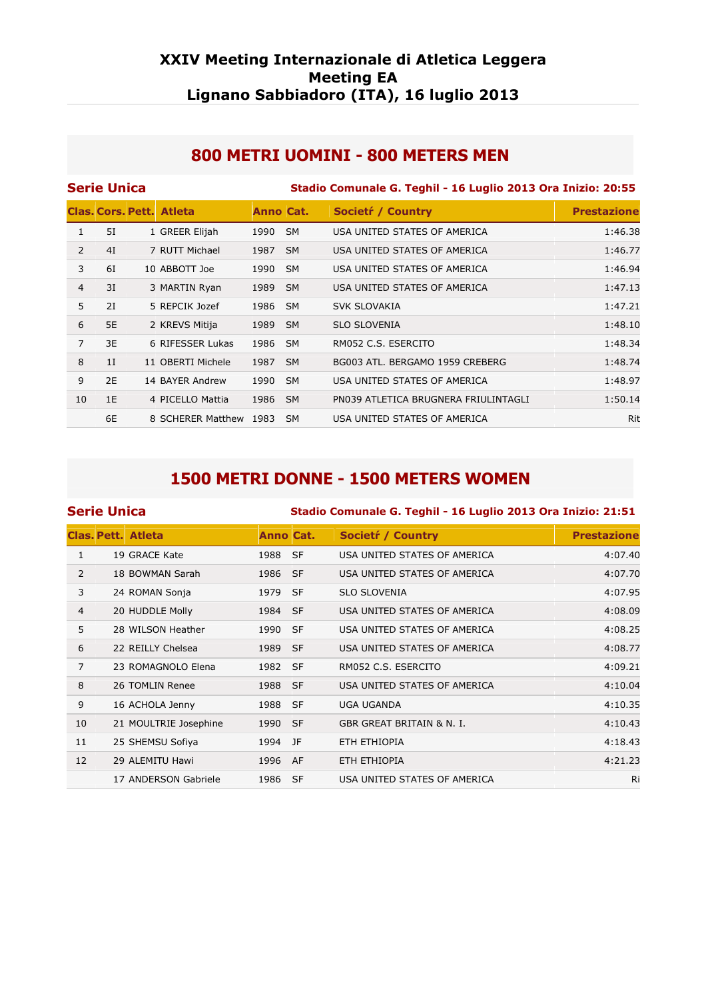#### **XXIV Meeting Internazionale di Atletica Leggera Meeting EA Lignano Sabbiadoro (ITA), 16 luglio 2013**

#### **800 METRI UOMINI - 800 METERS MEN**

|                | <b>Serie Unica</b> |                                 |           | Stadio Comunale G. Teghil - 16 Luglio 2013 Ora Inizio: 20:55 |                                      |                    |  |  |  |
|----------------|--------------------|---------------------------------|-----------|--------------------------------------------------------------|--------------------------------------|--------------------|--|--|--|
|                |                    | <b>Clas. Cors. Pett. Atleta</b> | Anno Cat. |                                                              | Societr / Country                    | <b>Prestazione</b> |  |  |  |
| 1              | 5I                 | 1 GREER Elijah                  | 1990      | <b>SM</b>                                                    | USA UNITED STATES OF AMERICA         | 1:46.38            |  |  |  |
| $\overline{2}$ | 4I                 | 7 RUTT Michael                  | 1987      | <b>SM</b>                                                    | USA UNITED STATES OF AMERICA         | 1:46.77            |  |  |  |
| 3              | 6I                 | 10 ABBOTT Joe                   | 1990      | <b>SM</b>                                                    | USA UNITED STATES OF AMERICA         | 1:46.94            |  |  |  |
| 4              | 3I                 | 3 MARTIN Ryan                   | 1989      | <b>SM</b>                                                    | USA UNITED STATES OF AMERICA         | 1:47.13            |  |  |  |
| 5              | 2I                 | 5 REPCIK Jozef                  | 1986      | <b>SM</b>                                                    | SVK SLOVAKIA                         | 1:47.21            |  |  |  |
| 6              | 5E                 | 2 KREVS Mitija                  | 1989      | <b>SM</b>                                                    | <b>SLO SLOVENIA</b>                  | 1:48.10            |  |  |  |
| $\overline{7}$ | 3E                 | 6 RIFESSER Lukas                | 1986      | <b>SM</b>                                                    | RM052 C.S. ESERCITO                  | 1:48.34            |  |  |  |
| 8              | 1I                 | 11 OBERTI Michele               | 1987      | <b>SM</b>                                                    | BG003 ATL. BERGAMO 1959 CREBERG      | 1:48.74            |  |  |  |
| 9              | 2E                 | 14 BAYER Andrew                 | 1990      | <b>SM</b>                                                    | USA UNITED STATES OF AMERICA         | 1:48.97            |  |  |  |
| 10             | 1E                 | 4 PICELLO Mattia                | 1986      | <b>SM</b>                                                    | PN039 ATLETICA BRUGNERA FRIULINTAGLI | 1:50.14            |  |  |  |
|                | 6E                 | 8 SCHERER Matthew 1983          |           | SM.                                                          | USA UNITED STATES OF AMERICA         | Rit                |  |  |  |

## **1500 METRI DONNE - 1500 METERS WOMEN**

| <b>Serie Unica</b> |                           |                  | Stadio Comunale G. Teghil - 16 Luglio 2013 Ora Inizio: 21:51 |                                      |                    |  |  |  |
|--------------------|---------------------------|------------------|--------------------------------------------------------------|--------------------------------------|--------------------|--|--|--|
|                    | <b>Clas, Pett. Atleta</b> | <b>Anno Cat.</b> |                                                              | <b>Societr</b> / Country             | <b>Prestazione</b> |  |  |  |
| $\mathbf{1}$       | 19 GRACE Kate             | 1988 SF          |                                                              | USA UNITED STATES OF AMERICA         | 4:07.40            |  |  |  |
| $\overline{2}$     | 18 BOWMAN Sarah           | 1986 SF          |                                                              | USA UNITED STATES OF AMERICA         | 4:07.70            |  |  |  |
| 3                  | 24 ROMAN Sonja            | 1979 SF          |                                                              | <b>SLO SLOVENIA</b>                  | 4:07.95            |  |  |  |
| 4                  | 20 HUDDLE Molly           | 1984 SF          |                                                              | USA UNITED STATES OF AMERICA         | 4:08.09            |  |  |  |
| 5                  | 28 WILSON Heather         | 1990             | - SF                                                         | USA UNITED STATES OF AMERICA         | 4:08.25            |  |  |  |
| 6                  | 22 REILLY Chelsea         | 1989 SF          |                                                              | USA UNITED STATES OF AMERICA         | 4:08.77            |  |  |  |
| 7                  | 23 ROMAGNOLO Elena        | 1982 SF          |                                                              | RM052 C.S. ESERCITO                  | 4:09.21            |  |  |  |
| 8                  | 26 TOMLIN Renee           | 1988 SF          |                                                              | USA UNITED STATES OF AMERICA         | 4:10.04            |  |  |  |
| 9                  | 16 ACHOLA Jenny           | 1988 SF          |                                                              | <b>UGA UGANDA</b>                    | 4:10.35            |  |  |  |
| 10                 | 21 MOULTRIE Josephine     | 1990 SF          |                                                              | <b>GBR GREAT BRITAIN &amp; N. I.</b> | 4:10.43            |  |  |  |
| 11                 | 25 SHEMSU Sofiya          | 1994             | JF                                                           | ETH ETHIOPIA                         | 4:18.43            |  |  |  |
| 12                 | 29 ALEMITU Hawi           | 1996             | AF                                                           | ETH ETHIOPIA                         | 4:21.23            |  |  |  |
|                    | 17 ANDERSON Gabriele      | 1986             | -SF                                                          | USA UNITED STATES OF AMERICA         | Ri                 |  |  |  |